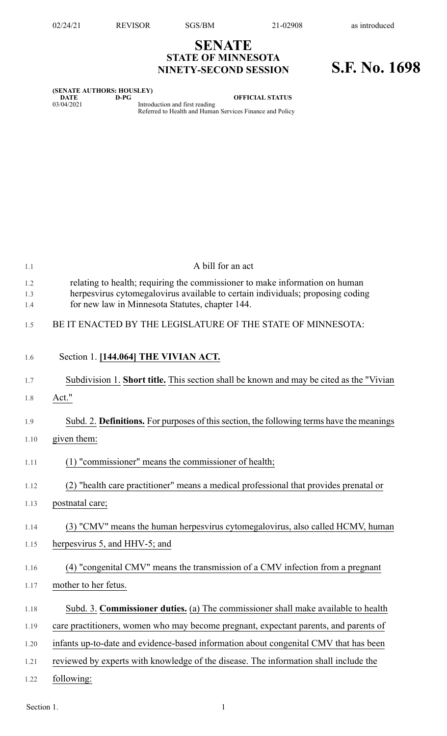## **SENATE STATE OF MINNESOTA NINETY-SECOND SESSION S.F. No. 1698**

| (SENATE AUTHORS: HOUSLEY) |      |                                                          |  |  |  |  |
|---------------------------|------|----------------------------------------------------------|--|--|--|--|
| DATE                      | D-PG | <b>OFFICIAL STATUS</b>                                   |  |  |  |  |
| 03/04/2021                |      | Introduction and first reading                           |  |  |  |  |
|                           |      | Referred to Health and Human Services Finance and Policy |  |  |  |  |

| 1.1               | A bill for an act                                                                                                                                                                                                |
|-------------------|------------------------------------------------------------------------------------------------------------------------------------------------------------------------------------------------------------------|
| 1.2<br>1.3<br>1.4 | relating to health; requiring the commissioner to make information on human<br>herpesvirus cytomegalovirus available to certain individuals; proposing coding<br>for new law in Minnesota Statutes, chapter 144. |
| 1.5               | BE IT ENACTED BY THE LEGISLATURE OF THE STATE OF MINNESOTA:                                                                                                                                                      |
| 1.6               | Section 1. [144.064] THE VIVIAN ACT.                                                                                                                                                                             |
| 1.7               | Subdivision 1. Short title. This section shall be known and may be cited as the "Vivian                                                                                                                          |
| 1.8               | Act."                                                                                                                                                                                                            |
| 1.9               | Subd. 2. Definitions. For purposes of this section, the following terms have the meanings                                                                                                                        |
| 1.10              | given them:                                                                                                                                                                                                      |
| 1.11              | (1) "commissioner" means the commissioner of health;                                                                                                                                                             |
| 1.12              | (2) "health care practitioner" means a medical professional that provides prenatal or                                                                                                                            |
| 1.13              | postnatal care;                                                                                                                                                                                                  |
| 1.14              | (3) "CMV" means the human herpesvirus cytomegalovirus, also called HCMV, human                                                                                                                                   |
| 1.15              | herpesvirus 5, and HHV-5; and                                                                                                                                                                                    |
| 1.16              | (4) "congenital CMV" means the transmission of a CMV infection from a pregnant                                                                                                                                   |
| 1.17              | mother to her fetus.                                                                                                                                                                                             |
| 1.18              | Subd. 3. Commissioner duties. (a) The commissioner shall make available to health                                                                                                                                |
| 1.19              | care practitioners, women who may become pregnant, expectant parents, and parents of                                                                                                                             |
| 1.20              | infants up-to-date and evidence-based information about congenital CMV that has been                                                                                                                             |
| 1.21              | reviewed by experts with knowledge of the disease. The information shall include the                                                                                                                             |
| 1.22              | following:                                                                                                                                                                                                       |

Section 1.